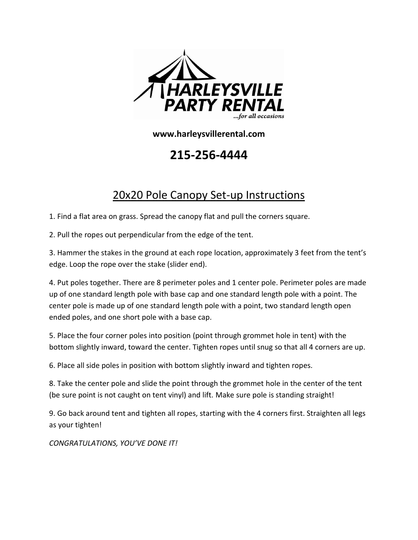

**www.harleysvillerental.com**

**215-256-4444**

## 20x20 Pole Canopy Set-up Instructions

1. Find a flat area on grass. Spread the canopy flat and pull the corners square.

2. Pull the ropes out perpendicular from the edge of the tent.

3. Hammer the stakes in the ground at each rope location, approximately 3 feet from the tent's edge. Loop the rope over the stake (slider end).

4. Put poles together. There are 8 perimeter poles and 1 center pole. Perimeter poles are made up of one standard length pole with base cap and one standard length pole with a point. The center pole is made up of one standard length pole with a point, two standard length open ended poles, and one short pole with a base cap.

5. Place the four corner poles into position (point through grommet hole in tent) with the bottom slightly inward, toward the center. Tighten ropes until snug so that all 4 corners are up.

6. Place all side poles in position with bottom slightly inward and tighten ropes.

8. Take the center pole and slide the point through the grommet hole in the center of the tent (be sure point is not caught on tent vinyl) and lift. Make sure pole is standing straight!

9. Go back around tent and tighten all ropes, starting with the 4 corners first. Straighten all legs as your tighten!

*CONGRATULATIONS, YOU'VE DONE IT!*